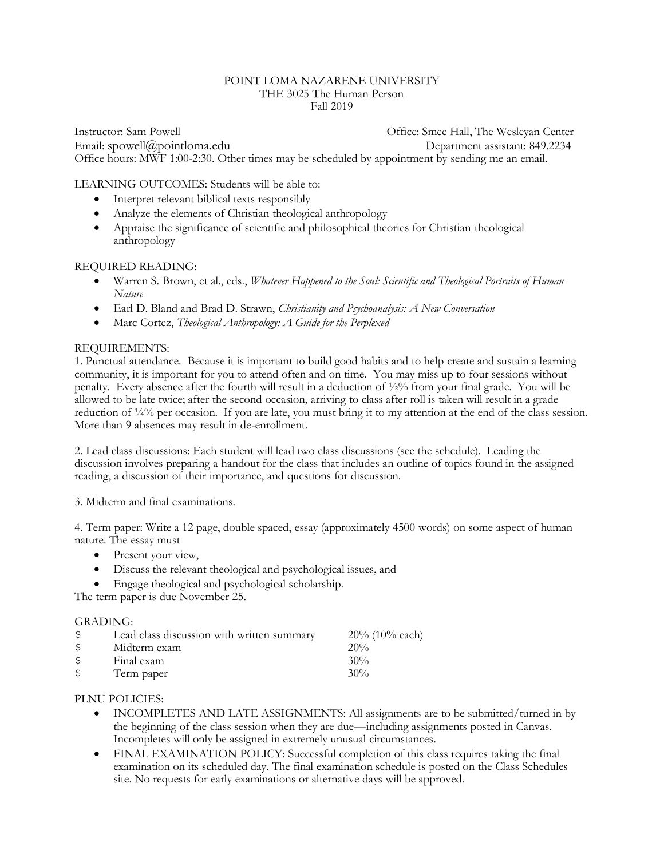#### POINT LOMA NAZARENE UNIVERSITY THE 3025 The Human Person Fall 2019

Instructor: Sam Powell Office: Smee Hall, The Wesleyan Center Email: [spowell@pointloma.edu](mailto:spowell@ptloma.edu) Department assistant: 849.2234 Office hours: MWF 1:00-2:30. Other times may be scheduled by appointment by sending me an email.

LEARNING OUTCOMES: Students will be able to:

- Interpret relevant biblical texts responsibly
- Analyze the elements of Christian theological anthropology
- Appraise the significance of scientific and philosophical theories for Christian theological anthropology

## REQUIRED READING:

- Warren S. Brown, et al., eds., *Whatever Happened to the Soul: Scientific and Theological Portraits of Human Nature*
- Earl D. Bland and Brad D. Strawn, *Christianity and Psychoanalysis: A New Conversation*
- Marc Cortez, *Theological Anthropology: A Guide for the Perplexed*

## REQUIREMENTS:

1. Punctual attendance. Because it is important to build good habits and to help create and sustain a learning community, it is important for you to attend often and on time. You may miss up to four sessions without penalty. Every absence after the fourth will result in a deduction of ½% from your final grade. You will be allowed to be late twice; after the second occasion, arriving to class after roll is taken will result in a grade reduction of  $\frac{1}{4}\%$  per occasion. If you are late, you must bring it to my attention at the end of the class session. More than 9 absences may result in de-enrollment.

2. Lead class discussions: Each student will lead two class discussions (see the schedule). Leading the discussion involves preparing a handout for the class that includes an outline of topics found in the assigned reading, a discussion of their importance, and questions for discussion.

3. Midterm and final examinations.

4. Term paper: Write a 12 page, double spaced, essay (approximately 4500 words) on some aspect of human nature. The essay must

- Present your view,
- Discuss the relevant theological and psychological issues, and
- Engage theological and psychological scholarship.

The term paper is due November 25.

#### GRADING:

| S. | Lead class discussion with written summary | $20\%$ (10% each) |
|----|--------------------------------------------|-------------------|
| S. | Midterm exam                               | 20%               |
| Ŝ. | Final exam                                 | $30\%$            |
| S. | Term paper                                 | $30\%$            |

## PLNU POLICIES:

- INCOMPLETES AND LATE ASSIGNMENTS: All assignments are to be submitted/turned in by the beginning of the class session when they are due—including assignments posted in Canvas. Incompletes will only be assigned in extremely unusual circumstances.
- FINAL EXAMINATION POLICY: Successful completion of this class requires taking the final examination on its scheduled day. The final examination schedule is posted on the Class Schedules site. No requests for early examinations or alternative days will be approved.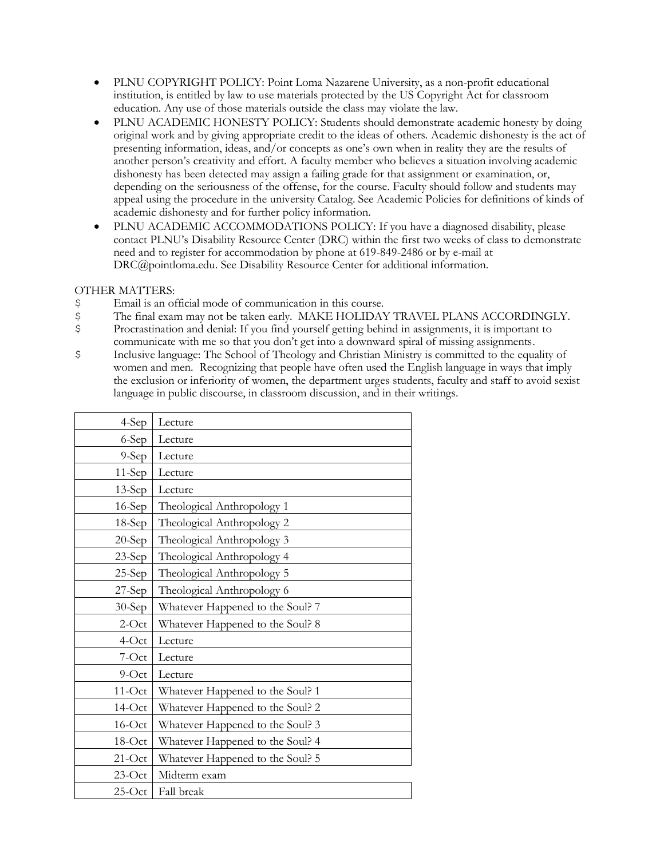- PLNU COPYRIGHT POLICY: Point Loma Nazarene University, as a non-profit educational institution, is entitled by law to use materials protected by the US Copyright Act for classroom education. Any use of those materials outside the class may violate the law.
- PLNU ACADEMIC HONESTY POLICY: Students should demonstrate academic honesty by doing original work and by giving appropriate credit to the ideas of others. Academic dishonesty is the act of presenting information, ideas, and/or concepts as one's own when in reality they are the results of another person's creativity and effort. A faculty member who believes a situation involving academic dishonesty has been detected may assign a failing grade for that assignment or examination, or, depending on the seriousness of the offense, for the course. Faculty should follow and students may appeal using the procedure in the university Catalog. See Academic Policies for definitions of kinds of academic dishonesty and for further policy information.
- PLNU ACADEMIC ACCOMMODATIONS POLICY: If you have a diagnosed disability, please contact PLNU's Disability Resource Center (DRC) within the first two weeks of class to demonstrate need and to register for accommodation by phone at 619-849-2486 or by e-mail at DRC@pointloma.edu. See Disability Resource Center for additional information.

# OTHER MATTERS:

- \$ Email is an official mode of communication in this course.<br>\$ The final exam may not be taken early. MAKE HOLIDA
- \$ The final exam may not be taken early. MAKE HOLIDAY TRAVEL PLANS ACCORDINGLY.<br>\$ Procrastination and denial: If you find yourself getting behind in assignments, it is important to
- Procrastination and denial: If you find yourself getting behind in assignments, it is important to communicate with me so that you don't get into a downward spiral of missing assignments.
- \$ Inclusive language: The School of Theology and Christian Ministry is committed to the equality of women and men. Recognizing that people have often used the English language in ways that imply the exclusion or inferiority of women, the department urges students, faculty and staff to avoid sexist language in public discourse, in classroom discussion, and in their writings.

| 4-Sep     | Lecture                          |
|-----------|----------------------------------|
| 6-Sep     | Lecture                          |
| $9-Sep$   | Lecture                          |
| 11-Sep    | Lecture                          |
| $13-Sep$  | Lecture                          |
| $16-Sep$  | Theological Anthropology 1       |
| $18-Sep$  | Theological Anthropology 2       |
| $20-Sep$  | Theological Anthropology 3       |
| $23-Sep$  | Theological Anthropology 4       |
| $25-Sep$  | Theological Anthropology 5       |
| $27-Sep$  | Theological Anthropology 6       |
| $30-Sep$  | Whatever Happened to the Soul? 7 |
| $2$ -Oct  | Whatever Happened to the Soul? 8 |
| $4$ -Oct  | Lecture                          |
| 7-Oct     | Lecture                          |
| $9$ -Oct  | Lecture                          |
| $11-Oct$  | Whatever Happened to the Soul? 1 |
| $14$ -Oct | Whatever Happened to the Soul? 2 |
| $16$ -Oct | Whatever Happened to the Soul? 3 |
| $18$ -Oct | Whatever Happened to the Soul? 4 |
| $21$ -Oct | Whatever Happened to the Soul? 5 |
| $23$ -Oct | Midterm exam                     |
| $25$ -Oct | Fall break                       |